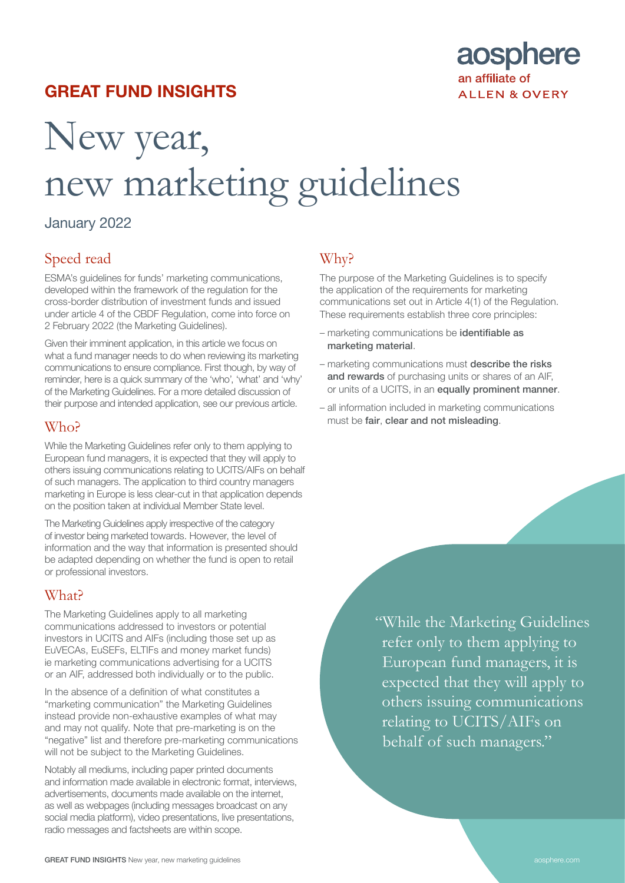## GREAT FUND INSIGHTS



# New year, new marketing guidelines

## January 2022

## Speed read

ESMA's guidelines for funds' marketing communications, developed within the framework of the regulation for the cross-border distribution of investment funds and issued under article 4 of the CBDF Regulation, come into force on 2 February 2022 (the Marketing Guidelines).

Given their imminent application, in this article we focus on what a fund manager needs to do when reviewing its marketing communications to ensure compliance. First though, by way of reminder, here is a quick summary of the 'who', 'what' and 'why' of the Marketing Guidelines. For a more detailed discussion of their purpose and intended application, see our [previous article.](https://www.aosphere.com/aos/news-knowhow/cross-border-fund-distribution-package-esmas-final-guidance-on-funds-marketing-communications)

#### W<sub>ho</sub>?

While the Marketing Guidelines refer only to them applying to European fund managers, it is expected that they will apply to others issuing communications relating to UCITS/AIFs on behalf of such managers. The application to third country managers marketing in Europe is less clear-cut in that application depends on the position taken at individual Member State level.

The Marketing Guidelines apply irrespective of the category of investor being marketed towards. However, the level of information and the way that information is presented should be adapted depending on whether the fund is open to retail or professional investors.

## What?

The Marketing Guidelines apply to all marketing communications addressed to investors or potential investors in UCITS and AIFs (including those set up as EuVECAs, EuSEFs, ELTIFs and money market funds) ie marketing communications advertising for a UCITS or an AIF, addressed both individually or to the public.

In the absence of a definition of what constitutes a "marketing communication" the Marketing Guidelines instead provide non-exhaustive examples of what may and may not qualify. Note that pre-marketing is on the "negative" list and therefore pre-marketing communications will not be subject to the Marketing Guidelines.

Notably all mediums, including paper printed documents and information made available in electronic format, interviews, advertisements, documents made available on the internet, as well as webpages (including messages broadcast on any social media platform), video presentations, live presentations, radio messages and factsheets are within scope.

## Why?

The purpose of the Marketing Guidelines is to specify the application of the requirements for marketing communications set out in Article 4(1) of the Regulation. These requirements establish three core principles:

- marketing communications be identifiable as marketing material.
- marketing communications must describe the risks and rewards of purchasing units or shares of an AIF, or units of a UCITS, in an equally prominent manner.
- all information included in marketing communications must be fair, clear and not misleading.

"While the Marketing Guidelines refer only to them applying to European fund managers, it is expected that they will apply to others issuing communications relating to UCITS/AIFs on behalf of such managers."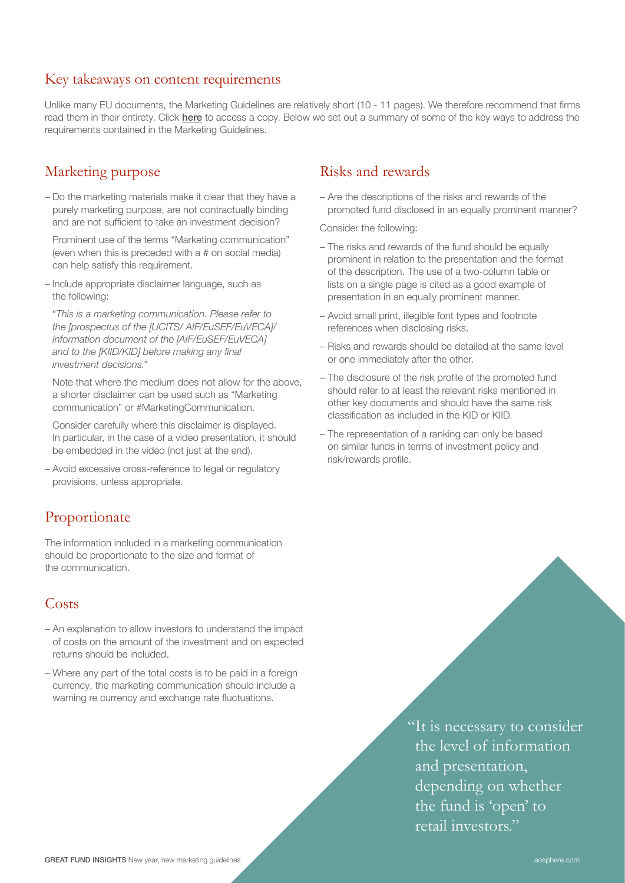#### Key takeaways on content requirements

Unlike many EU documents, the Marketing Guidelines are relatively short (10 - 11 pages). We therefore recommend that firms read them in their entirety. Click [here](https://www.esma.europa.eu/sites/default/files/library/esma34-45-1272_guidelines_on_marketing_communications.pdf) to access a copy. Below we set out a summary of some of the key ways to address the requirements contained in the Marketing Guidelines.

#### Marketing purpose

– Do the marketing materials make it clear that they have a purely marketing purpose, are not contractually binding and are not sufficient to take an investment decision?

Prominent use of the terms "Marketing communication" (even when this is preceded with a # on social media) can help satisfy this requirement.

– Include appropriate disclaimer language, such as the following:

"*This is a marketing communication. Please refer to the [prospectus of the [UCITS/ AIF/EuSEF/EuVECA]/ Information document of the [AIF/EuSEF/EuVECA]*  and to the [KIID/KID] before making any final *investment decisions."*

Note that where the medium does not allow for the above, a shorter disclaimer can be used such as "Marketing communication" or #MarketingCommunication.

Consider carefully where this disclaimer is displayed. In particular, in the case of a video presentation, it should be embedded in the video (not just at the end).

– Avoid excessive cross-reference to legal or regulatory provisions, unless appropriate.

## Proportionate

The information included in a marketing communication should be proportionate to the size and format of the communication.

## **Costs**

- An explanation to allow investors to understand the impact of costs on the amount of the investment and on expected returns should be included.
- Where any part of the total costs is to be paid in a foreign currency, the marketing communication should include a warning re currency and exchange rate fluctuations.

## Risks and rewards

– Are the descriptions of the risks and rewards of the promoted fund disclosed in an equally prominent manner?

Consider the following:

- The risks and rewards of the fund should be equally prominent in relation to the presentation and the format of the description. The use of a two-column table or lists on a single page is cited as a good example of presentation in an equally prominent manner.
- Avoid small print, illegible font types and footnote references when disclosing risks.
- Risks and rewards should be detailed at the same level or one immediately after the other.
- The disclosure of the risk profile of the promoted fund should refer to at least the relevant risks mentioned in other key documents and should have the same risk classification as included in the KID or KIID.
- The representation of a ranking can only be based on similar funds in terms of investment policy and risk/rewards profile.

"It is necessary to consider the level of information and presentation, depending on whether the fund is 'open' to retail investors."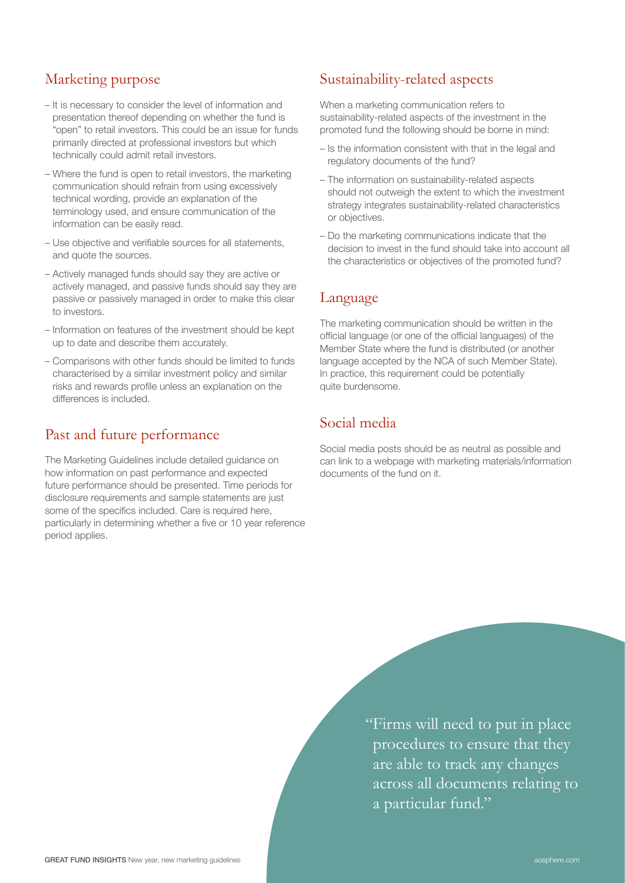#### Marketing purpose

- It is necessary to consider the level of information and presentation thereof depending on whether the fund is "open" to retail investors. This could be an issue for funds primarily directed at professional investors but which technically could admit retail investors.
- Where the fund is open to retail investors, the marketing communication should refrain from using excessively technical wording, provide an explanation of the terminology used, and ensure communication of the information can be easily read.
- Use objective and verifiable sources for all statements, and quote the sources.
- Actively managed funds should say they are active or actively managed, and passive funds should say they are passive or passively managed in order to make this clear to investors.
- Information on features of the investment should be kept up to date and describe them accurately.
- Comparisons with other funds should be limited to funds characterised by a similar investment policy and similar risks and rewards profile unless an explanation on the differences is included.

### Past and future performance

The Marketing Guidelines include detailed guidance on how information on past performance and expected future performance should be presented. Time periods for disclosure requirements and sample statements are just some of the specifics included. Care is required here, particularly in determining whether a five or 10 year reference period applies.

### Sustainability-related aspects

When a marketing communication refers to sustainability-related aspects of the investment in the promoted fund the following should be borne in mind:

- Is the information consistent with that in the legal and regulatory documents of the fund?
- The information on sustainability-related aspects should not outweigh the extent to which the investment strategy integrates sustainability-related characteristics or objectives.
- Do the marketing communications indicate that the decision to invest in the fund should take into account all the characteristics or objectives of the promoted fund?

### Language

The marketing communication should be written in the official language (or one of the official languages) of the Member State where the fund is distributed (or another language accepted by the NCA of such Member State). In practice, this requirement could be potentially quite burdensome.

### Social media

Social media posts should be as neutral as possible and can link to a webpage with marketing materials/information documents of the fund on it.

> "Firms will need to put in place procedures to ensure that they are able to track any changes across all documents relating to a particular fund."